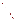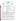### **THE ENVIRONMENTAL TECHNOLOGY VERIFICATION PROGRAM**



**Battelle** The Business of Innovation

# **ETV Joint Verification Statement**

|                                                | <b>TECHNOLOGY TYPE: Mobile Mass Spectrometers</b>                                  |                                                |  |
|------------------------------------------------|------------------------------------------------------------------------------------|------------------------------------------------|--|
| <b>APPLICATION:</b>                            | Monitoring volatile organic compounds, pesticides, and<br>chemical agents in water |                                                |  |
| <b>TECHNOLOGY</b><br><b>NAME:</b>              | CT-1128 Portable Gas Chromatograph–Mass<br><b>Spectrometer (GC-MS)</b>             |                                                |  |
| <b>COMPANY:</b>                                | <b>Constellation Technology Corporation</b>                                        |                                                |  |
| <b>ADDRESS:</b>                                | 7887 Bryan Dairy Road<br>Suite 100<br>Largo, FL 33777-1498                         | PHONE: (727) 547-0600<br>FAX: $(727)$ 545-6150 |  |
| <b>WEB SITE:</b><br>$E\text{-}{M}\text{A}H$ .: | www.contech.com<br>info@contech.com                                                |                                                |  |

The U.S. Environmental Protection Agency (EPA) has established the Environmental Technology Verification (ETV) Program to facilitate the deployment of innovative or improved environmental technologies through performance verification and dissemination of information. The goal of the ETV Program is to further environmental protection by accelerating the acceptance and use of improved and cost-effective technologies. ETV seeks to achieve this goal by providing high-quality, peer-reviewed data on technology performance to those involved in the design, distribution, financing, permitting, purchase, and use of environmental technologies. Information and ETV documents are available at www.epa.gov/etv.

ETV works in partnership with recognized standards and testing organizations, with stakeholder groups (consisting of buyers, vendor organizations, and permitters), and with individual technology developers. The program evaluates the performance of innovative technologies by developing test plans that are responsive to the needs of stakeholders, conducting field or laboratory tests (as appropriate), collecting and analyzing data, and preparing peer-reviewed reports. All evaluations are conducted in accordance with rigorous quality assurance (QA) protocols to ensure that data of known and adequate quality are generated and that the results are defensible.

The Advanced Monitoring Systems (AMS) Center, one of six technology areas under ETV, is operated by Battelle in cooperation with EPA's National Exposure Research Laboratory. The AMS Center evaluated the performance of the Constellation Technology Corporation's CT-1128 Portable Gas Chromatograph–Mass Spectrometer (GC-MS). This verification statement provides a summary of the test results.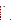### **VERIFICATION TEST DESCRIPTION**

Many volatile and semivolatile contaminants in water are detected using bench-top mass spectrometers in a traditional laboratory setting. However, the CT-1128 verified in this test was a portable unit designed to be taken outside the laboratory setting for field analysis. This portability offers an advantage to first-responders and other users who need chemical information when time, sampling, and other limitations preclude analysis in a laboratory.

The ability of the CT-1128 to identify and quantify target contaminants was tested in various water matrices. The CT-1128 was evaluated for the following performance parameters:

- **Accuracy**
- Precision
- **Linearity**
- Instrument stability
- Potential matrix and interference effects
- **Sensitivity**
- Field portability
- Operational factors.

Three classes of contaminants were used for testing: volatile organic compounds (benzene, toluene, ethyl benzene, total xylenes [BTEX]), pesticides (2,4-D and dicrotophos), and chemical warfare agents (VX, GB, and GD). The contaminants were selected based on recommendations from the AMS Center stakeholders.

Performance test (PT) samples were prepared in American Society for Testing and Materials (ASTM) Type II water. The target contaminant concentrations were constructed to bracket the concentrations of interest, which were calculated using  $LD_{50}$  values assuming a 70-kilogram individual consuming 250 milliliters of the contaminated water. When  $LD_{50}$  data were not available or feasible for testing, maximum contaminant levels (MCLs), as defined by EPA National Primary Drinking Water Regulations, were used. Reference measurements were conducted on PT samples only, to confirm the accuracy of sample preparation. EPA methods 524.2 and 515.1 were used for analyzing BTEX and 2,4-D, respectively. Internally developed methods were used for the remainder of the contaminant reference methods since no external methods were available from commercial laboratories at the time of testing.

The PT samples were used to determine the accuracy of the CT-1128; one set of which was used to establish a calibration curve. Subsequent analyses of the PT samples on multiple testing days were then used to calculate the accuracy of the CT-1128 measurements. To measure the potential matrix effects on the CT-1128 in selected real-world applications, it was challenged by analyzing samples fortified with the target contaminant in various matrices including drinking water (DW) samples (which varied in source and treatment), a weakly buffered water sample, a strongly buffered water sample, and a trihalomethanes (THMs)-fortified water sample. The concentration of a mid-level PT sample was used to fortify the matrix samples. This concentration provided a convenient level that was approximate to or below the concentration of interest for the target contaminants.

In addition to the PT, DW, buffered waters, and THMs-fortified water samples, blanks and unfortified matrix samples were analyzed to confirm negative responses in the absence of target contaminants and also to ensure that no sources of contamination were introduced during the analysis.

Experienced GC-MS operators were used for testing since the vendor suggests that a new user obtain training in the use of a GC-MS prior to operating the CT-1128. The vendor identified solid phase microextraction (SPME) as the technique for preparing the water samples for subsequent GC-MS analysis by the CT-1128. It is very important to note that the methodology provided by the vendor was not optimized for any one specific target chemical. The same SPME fiber type and GC column were used throughout the test for all analytes.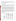QA oversight of verification testing was provided by Battelle and EPA. Battelle QA staff conducted a technical systems audit, a performance evaluation audit, and a data quality audit of 10% of the test data. This verification statement, the full report on which it is based, and the test/QA plan for this verification test are all available at www.epa.gov/etv/centers/center1.html.

## **TECHNOLOGY DESCRIPTION**

The following description of the CT-1128 is based on information provided by the vendor. This technology description was not verified in this test.

The CT-1128 analyzes, on-site, known and unknown chemicals. The CT-1128 is a lightweight, ruggedized, field deployable GC-MS system that can accommodate the applications of traditional laboratory based GC-MS systems. With the appropriate extraction techniques, analysis may be performed on a variety of matrices including DW, which can be prepared using SPME.

The CT-1128 weighs approximately 75 pounds (34 kilograms) and is 15 inches (38.1 cm) by 23 inches (58.4 cm) by 15 inches (38.1 cm). It is contained in a carrying case housing the entire system. The CT-1128 has a range of 1.6 to 800 atomic mass units with unit resolution throughout the mass range. In selected ion mode (SIM), the CT-1128 can scan for 50 groups of masses with 30 masses per group. For identification of chemicals, the CT-1128 is equipped with an automated mass spectral data base searching function that can use a range of commercial mass spectral libraries (e.g., National Institute of Standards and Technology Mass Spectral Library) as well as user-defined libraries. The system is controlled with a laptop computer that uses a program for GC control and MSD Chemstation (Agilent Technologies) for MS control and data analysis.

The CT-1128, which requires ultra-high purity hydrogen or helium (or nitrogen if desired) for the carrier gas, can use either an external gas tank or its on-board hydrogen storage bottle. The metal hydride storage bottle can be charged with hydrogen to provide a source of carrier gas that is convenient for mobile operation. The mass spectrometer can be tuned using an internal calibrant such as perfluorotributylamine (PFTBA) to perform a standard spectra tune or autotune (for maximum sensitivity over the entire scanning range) depending on the user's needs. At the time of testing, the cost of the CT-1128 GC-MS system, with optional SPME stirrer/heater, was \$140,000.

## **VERIFICATION RESULTS**

**Summary of Accuracy, Precision, Linearity, and Stability** 

|                    | Accuracy                                         | <b>Precision</b>                                                        | <b>Linearity</b>                                           | <b>Stability</b>                                                        |
|--------------------|--------------------------------------------------|-------------------------------------------------------------------------|------------------------------------------------------------|-------------------------------------------------------------------------|
| <b>Contaminant</b> | Mean<br><b>Percent</b><br><b>Recovery</b><br>(R) | Mean<br><b>Relative</b><br><b>Standard</b><br><b>Deviation</b><br>(RSD) | Coefficient of<br><b>Determination</b><br>of Curve $(r^2)$ | Mean<br><b>Relative</b><br><b>Percent</b><br><b>Difference</b><br>(RPD) |
| benzene            | 172%                                             | 10%                                                                     | 1.000                                                      | 27%                                                                     |
| toluene            | 440%                                             | 43%                                                                     | 1.000                                                      | 52%                                                                     |
| ethylbenzene       | 104%                                             | 16%                                                                     | 1.000                                                      | 9%                                                                      |
| xylenes (total)    | 103%                                             | 10%                                                                     | 1.000                                                      | 12%                                                                     |
| $2,4-D$            | 62%                                              | 21%                                                                     | 0.921                                                      | 35%                                                                     |
| dicrotophos        | 143%                                             | 42%                                                                     | 0.999                                                      | 92%                                                                     |
| <b>GB</b>          | 108%                                             | 24%                                                                     | 1.000                                                      | 48%                                                                     |
| GD                 | 75%                                              | 14%                                                                     | 1.000                                                      | 27%                                                                     |
| VX                 | 109%                                             | 15%                                                                     | 0.959                                                      | 27%                                                                     |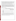Benzene *accuracy* was considerably higher than ideal (100%) at 172% recovery (R) because of a change in response several days after establishing the calibration curve. Toluene exhibited significant over-recoveries, with an overall mean R of 440%, though accuracy for ethylbenzene and xylenes (total) was close to 100%. The mean R for 2,4-D and dicrotophos was 62% and 143%, respectively. For GB, the accuracy was close to ideal at 108%. For GD, R was acceptable at 75. The mean R for VX was 109%, though the concentrations tested were significantly higher than the LD<sub>50</sub> for this agent. *Precision*, as measured by relative standard deviation (RSD) of replicate samples, ranged from 10% for benzene to 43% for toluene.

In regard to *linearity*, the calibration curves of seven of the nine contaminants had coefficients of determination  $(r^2)$  of 0.999 or greater. The exceptions were those contaminants for which the provided method lacked sensitivity—2,4-D and VX ( $r^2$  of 0.921 and 0.959, respectively), though for all contaminants,  $r^2$  values were greater than 0.920. Instrument *stability* was evaluated by comparing the results of mid-level PT samples at the beginning and end of the testing day and determining relative percent difference (RPD) of the PT samples (ideal RPD is 0%). Stability results ranged from 9% RPD for ethylbenzene to 92% for dicrotophos. Only two contaminants, ethylbenzene and xylenes (average RPD of 9% and 12%, respectively), had average RPDs less than 20%, while toluene and dicrotophos had RPDs significantly greater than 20% (52% and 92%, respectively).

## **Summary of Matrix Effects Observed**

|                    | Matrix Effect <sup>(a)</sup> from Potential Interferents<br>$\checkmark$ = observed |           |           |     |                                           |                                             |                                       |
|--------------------|-------------------------------------------------------------------------------------|-----------|-----------|-----|-------------------------------------------|---------------------------------------------|---------------------------------------|
| <b>Contaminant</b> | DW1                                                                                 | DW2       | DW3       | DW4 | <b>Weakly</b><br><b>Buffered</b><br>Water | <b>Strongly</b><br><b>Buffered</b><br>Water | <b>THMs</b><br><b>Spiked</b><br>Water |
| benzene            |                                                                                     |           |           |     |                                           |                                             |                                       |
| toluene            |                                                                                     | ✓         | ✓         |     |                                           |                                             |                                       |
| ethylbenzene       |                                                                                     |           |           |     |                                           |                                             |                                       |
| xylenes            |                                                                                     |           |           |     |                                           |                                             |                                       |
| $2,4-D$            |                                                                                     |           |           |     |                                           |                                             |                                       |
| dicrotophos        |                                                                                     | ✓         |           |     |                                           |                                             |                                       |
| <b>GB</b>          |                                                                                     |           |           |     |                                           |                                             |                                       |
| GD                 |                                                                                     |           | ✓         |     |                                           |                                             |                                       |
| VX                 | ND                                                                                  | <b>ND</b> | <b>ND</b> | ND  | ND                                        | <b>ND</b>                                   | <b>ND</b>                             |

(a) matrix effect defined as recovery  $\pm 30$ % of average response of daily PT samples fortified at the same concentration ND = no data; VX matrix testing was not performed due to lack of sensitivity for this contaminant using the vendor-provided method

A *matrix effect* was present with the strong buffer matrix, which gave R values outside the 70% to 130% range for all eight of the target contaminants tested. DW3 also showed matrix effects for five of the eight contaminants, which may be due to its origin as a groundwater sample.